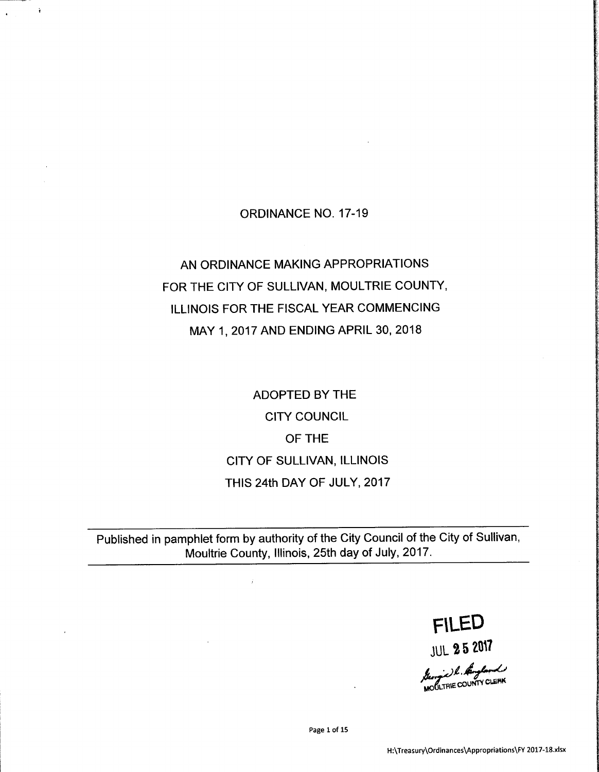## ORDINANCE NO. 17-19

r

# AN ORDINANCE MAKING APPROPRIATIONS FOR THE CITY OF SULLIVAN, MOULTRIE COUNTY, ILLINOIS FOR THE FISCAL YEAR COMMENCING MAY 1, 2017 AND ENDING APRIL 30, 2018

ADOPTED BY THE CITY COUNCIL OF THE CITY OF SULLIVAN, ILLINOIS THIS 24th DAY OF JULY, 2017

Published in pamphlet form by authority of the City Council of the City of Sullivan, Moultrie County, Illinois, 25th day of July, 2017.

> FLED **JUL 25 2017**

MOULTRIE COUNTY CLEAR

Page <sup>1</sup> of 15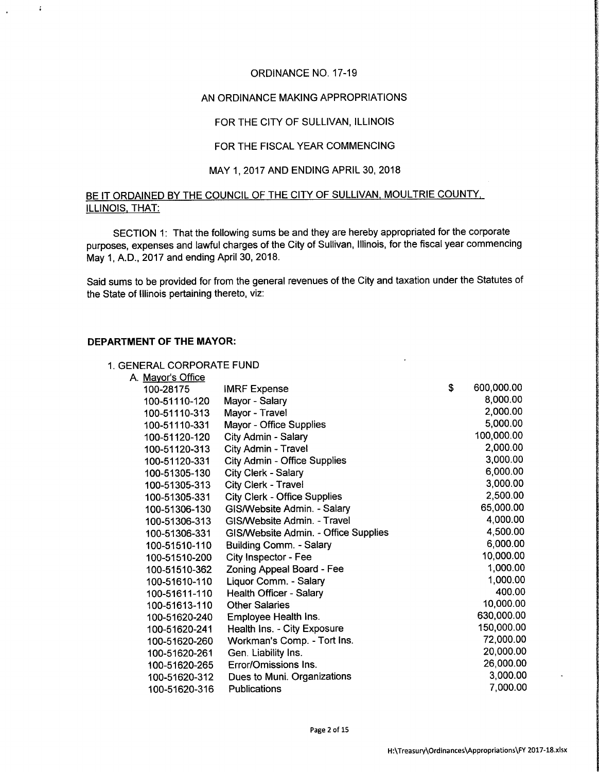#### ORDINANCE NO. 17-19

#### AN ORDINANCE MAKING APPROPRIATIONS

#### FOR THE CITY OF SULLIVAN, ILLINOIS

#### FOR THE FISCAL YEAR COMMENCING

#### MAY 1, 2017 AND ENDING APRIL 30, 2018

#### BE IT ORDAINED BY THE COUNCIL OF THE CITY OF SULLIVAN, MOULTRIE COUNTY, ILLINOIS, THAT:

SECTION 1: That the following sums be and they are hereby appropriated for the corporate purposes, expenses and lawful charges of the City of Sullivan, Illinois, for the fiscal year commencing May 1, A.D., 2017 and ending April 30, 2018.

Said sums to be provided for from the general revenues of the City and taxation under the Statutes of the State of Illinois pertaining thereto, viz:

#### DEPARTMENT OF THE MAYOR:

 $\cdot$ 

#### 1. GENERAL CORPORATE FUND

| A. Mayor's Office |                                      |   |            |
|-------------------|--------------------------------------|---|------------|
| 100-28175         | <b>IMRF Expense</b>                  | S | 600,000.00 |
| 100-51110-120     | Mayor - Salary                       |   | 8,000.00   |
| 100-51110-313     | Mayor - Travel                       |   | 2,000.00   |
| 100-51110-331     | Mayor - Office Supplies              |   | 5,000.00   |
| 100-51120-120     | City Admin - Salary                  |   | 100,000.00 |
| 100-51120-313     | City Admin - Travel                  |   | 2,000.00   |
| 100-51120-331     | <b>City Admin - Office Supplies</b>  |   | 3,000.00   |
| 100-51305-130     | City Clerk - Salary                  |   | 6,000.00   |
| 100-51305-313     | City Clerk - Travel                  |   | 3,000.00   |
| 100-51305-331     | <b>City Clerk - Office Supplies</b>  |   | 2,500.00   |
| 100-51306-130     | GIS/Website Admin. - Salary          |   | 65,000.00  |
| 100-51306-313     | GIS/Website Admin. - Travel          |   | 4,000.00   |
| 100-51306-331     | GIS/Website Admin. - Office Supplies |   | 4,500.00   |
| 100-51510-110     | Building Comm. - Salary              |   | 6,000.00   |
| 100-51510-200     | City Inspector - Fee                 |   | 10,000.00  |
| 100-51510-362     | Zoning Appeal Board - Fee            |   | 1,000.00   |
| 100-51610-110     | Liquor Comm. - Salary                |   | 1,000.00   |
| 100-51611-110     | Health Officer - Salary              |   | 400.00     |
| 100-51613-110     | <b>Other Salaries</b>                |   | 10,000.00  |
| 100-51620-240     | Employee Health Ins.                 |   | 630,000.00 |
| 100-51620-241     | Health Ins. - City Exposure          |   | 150,000.00 |
| 100-51620-260     | Workman's Comp. - Tort Ins.          |   | 72,000.00  |
| 100-51620-261     | Gen. Liability Ins.                  |   | 20,000.00  |
| 100-51620-265     | Error/Omissions Ins.                 |   | 26,000.00  |
| 100-51620-312     | Dues to Muni. Organizations          |   | 3,000.00   |
| 100-51620-316     | Publications                         |   | 7,000.00   |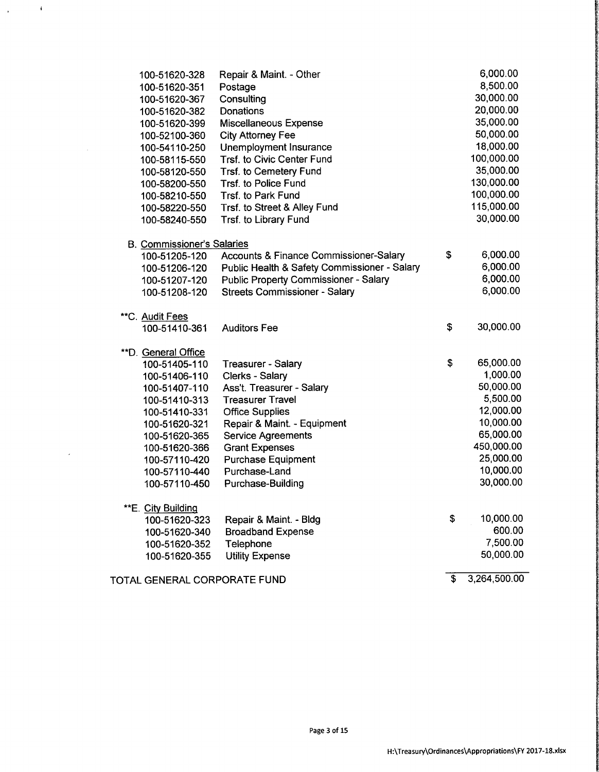| 100-51620-328                     | Repair & Maint. - Other                           | 6,000.00           |
|-----------------------------------|---------------------------------------------------|--------------------|
| 100-51620-351                     | Postage                                           | 8,500.00           |
| 100-51620-367                     | Consulting                                        | 30,000.00          |
| 100-51620-382                     | Donations                                         | 20,000.00          |
| 100-51620-399                     | Miscellaneous Expense                             | 35,000.00          |
| 100-52100-360                     | <b>City Attorney Fee</b>                          | 50,000.00          |
| 100-54110-250                     | Unemployment Insurance                            | 18,000.00          |
| 100-58115-550                     | Trsf. to Civic Center Fund                        | 100,000.00         |
| 100-58120-550                     | Trsf. to Cemetery Fund                            | 35,000.00          |
| 100-58200-550                     | Trsf. to Police Fund                              | 130,000.00         |
| 100-58210-550                     | Trsf. to Park Fund                                | 100,000.00         |
| 100-58220-550                     | Trsf. to Street & Alley Fund                      | 115,000.00         |
| 100-58240-550                     | Trsf. to Library Fund                             | 30,000.00          |
| <b>B. Commissioner's Salaries</b> |                                                   |                    |
| 100-51205-120                     | <b>Accounts &amp; Finance Commissioner-Salary</b> | \$<br>6,000.00     |
| 100-51206-120                     | Public Health & Safety Commissioner - Salary      | 6,000.00           |
| 100-51207-120                     | <b>Public Property Commissioner - Salary</b>      | 6,000.00           |
| 100-51208-120                     | <b>Streets Commissioner - Salary</b>              | 6,000.00           |
| **C. Audit Fees                   |                                                   |                    |
| 100-51410-361                     | <b>Auditors Fee</b>                               | \$<br>30,000.00    |
| <b>**D.</b> General Office        |                                                   |                    |
| 100-51405-110                     | <b>Treasurer - Salary</b>                         | \$<br>65,000.00    |
| 100-51406-110                     | Clerks - Salary                                   | 1,000.00           |
| 100-51407-110                     | Ass't. Treasurer - Salary                         | 50,000.00          |
| 100-51410-313                     | <b>Treasurer Travel</b>                           | 5,500.00           |
| 100-51410-331                     | <b>Office Supplies</b>                            | 12,000.00          |
| 100-51620-321                     | Repair & Maint. - Equipment                       | 10,000.00          |
| 100-51620-365                     | <b>Service Agreements</b>                         | 65,000.00          |
| 100-51620-366                     | <b>Grant Expenses</b>                             | 450,000.00         |
| 100-57110-420                     | <b>Purchase Equipment</b>                         | 25,000.00          |
| 100-57110-440                     | Purchase-Land                                     | 10,000.00          |
| 100-57110-450                     | Purchase-Building                                 | 30,000.00          |
| E. City Building                  |                                                   |                    |
| 100-51620-323                     | Repair & Maint. - Bldg                            | \$<br>10,000.00    |
| 100-51620-340                     | <b>Broadband Expense</b>                          | 600.00             |
| 100-51620-352                     | Telephone                                         | 7,500.00           |
| 100-51620-355                     | <b>Utility Expense</b>                            | 50,000.00          |
| TOTAL GENERAL CORPORATE FUND      |                                                   | \$<br>3,264,500.00 |

 $\chi_{\rm{max}}=0$ 

 $\sim$   $\sim$ 

 $\mathcal{L}$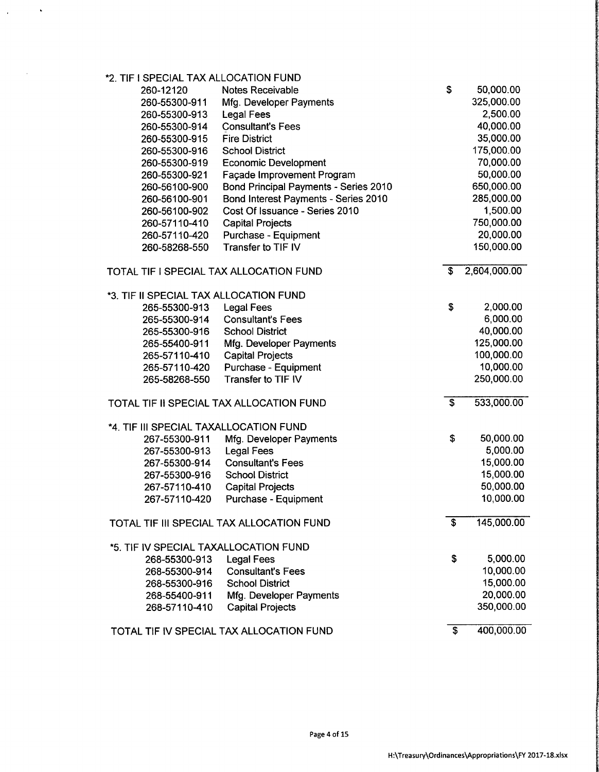| *2. TIF I SPECIAL TAX ALLOCATION FUND   |                                           |                           |              |
|-----------------------------------------|-------------------------------------------|---------------------------|--------------|
| 260-12120                               | Notes Receivable                          | \$                        | 50,000.00    |
| 260-55300-911                           | Mfg. Developer Payments                   |                           | 325,000.00   |
| 260-55300-913                           | <b>Legal Fees</b>                         |                           | 2,500.00     |
| 260-55300-914                           | <b>Consultant's Fees</b>                  |                           | 40,000.00    |
| 260-55300-915                           | <b>Fire District</b>                      |                           | 35,000.00    |
| 260-55300-916                           | <b>School District</b>                    |                           | 175,000.00   |
| 260-55300-919                           | <b>Economic Development</b>               |                           | 70,000.00    |
| 260-55300-921                           | Façade Improvement Program                |                           | 50,000.00    |
| 260-56100-900                           | Bond Principal Payments - Series 2010     |                           | 650,000.00   |
| 260-56100-901                           | Bond Interest Payments - Series 2010      |                           | 285,000.00   |
| 260-56100-902                           | Cost Of Issuance - Series 2010            |                           | 1,500.00     |
| 260-57110-410                           | <b>Capital Projects</b>                   |                           | 750,000.00   |
| 260-57110-420                           | Purchase - Equipment                      |                           | 20,000.00    |
| 260-58268-550                           | Transfer to TIF IV                        |                           | 150,000.00   |
| TOTAL TIF I SPECIAL TAX ALLOCATION FUND |                                           | \$                        | 2,604,000.00 |
| *3. TIF II SPECIAL TAX ALLOCATION FUND  |                                           |                           |              |
| 265-55300-913                           | <b>Legal Fees</b>                         | \$                        | 2,000.00     |
| 265-55300-914                           | <b>Consultant's Fees</b>                  |                           | 6,000.00     |
| 265-55300-916                           | <b>School District</b>                    |                           | 40,000.00    |
| 265-55400-911                           | Mfg. Developer Payments                   |                           | 125,000.00   |
| 265-57110-410                           | <b>Capital Projects</b>                   |                           | 100,000.00   |
| 265-57110-420                           | Purchase - Equipment                      |                           | 10,000.00    |
| 265-58268-550                           | Transfer to TIF IV                        |                           | 250,000.00   |
|                                         | TOTAL TIF II SPECIAL TAX ALLOCATION FUND  | $\boldsymbol{\mathsf{S}}$ | 533,000.00   |
| *4. TIF III SPECIAL TAXALLOCATION FUND  |                                           |                           |              |
| 267-55300-911                           | Mfg. Developer Payments                   | \$                        | 50,000.00    |
| 267-55300-913                           | <b>Legal Fees</b>                         |                           | 5,000.00     |
| 267-55300-914                           | <b>Consultant's Fees</b>                  |                           | 15,000.00    |
| 267-55300-916                           | <b>School District</b>                    |                           | 15,000.00    |
| 267-57110-410                           | <b>Capital Projects</b>                   |                           | 50,000.00    |
| 267-57110-420                           | Purchase - Equipment                      |                           | 10,000.00    |
|                                         | TOTAL TIF III SPECIAL TAX ALLOCATION FUND | $\overline{\mathbf{s}}$   | 145,000.00   |
| *5. TIF IV SPECIAL TAXALLOCATION FUND   |                                           |                           |              |
| 268-55300-913                           | <b>Legal Fees</b>                         | \$                        | 5,000.00     |
| 268-55300-914                           | <b>Consultant's Fees</b>                  |                           | 10,000.00    |
| 268-55300-916                           | <b>School District</b>                    |                           | 15,000.00    |
| 268-55400-911                           | Mfg. Developer Payments                   |                           | 20,000.00    |
| 268-57110-410                           | <b>Capital Projects</b>                   |                           | 350,000.00   |
|                                         | TOTAL TIF IV SPECIAL TAX ALLOCATION FUND  | \$                        | 400,000.00   |

 $\ddot{\phantom{1}}$ 

 $\sim$ 

 $\hat{\boldsymbol{\epsilon}}$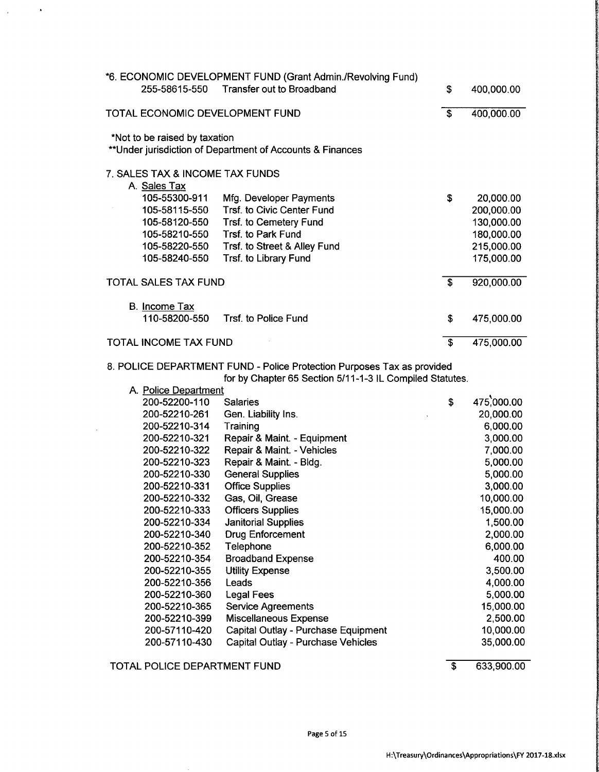| 255-58615-550                   | *6. ECONOMIC DEVELOPMENT FUND (Grant Admin./Revolving Fund)<br>Transfer out to Broadband | \$                      | 400,000.00 |
|---------------------------------|------------------------------------------------------------------------------------------|-------------------------|------------|
| TOTAL ECONOMIC DEVELOPMENT FUND |                                                                                          | £.                      | 400,000.00 |
| *Not to be raised by taxation   | **Under jurisdiction of Department of Accounts & Finances                                |                         |            |
| 7. SALES TAX & INCOME TAX FUNDS |                                                                                          |                         |            |
| A. Sales Tax                    |                                                                                          |                         |            |
| 105-55300-911                   | Mfg. Developer Payments                                                                  | S                       | 20,000.00  |
| 105-58115-550                   | Trsf. to Civic Center Fund                                                               |                         | 200,000.00 |
| 105-58120-550                   | Trsf. to Cemetery Fund                                                                   |                         | 130,000.00 |
| 105-58210-550                   | Trsf. to Park Fund                                                                       |                         | 180,000.00 |
| 105-58220-550                   | Trsf. to Street & Alley Fund                                                             |                         | 215,000.00 |
| 105-58240-550                   | Trsf. to Library Fund                                                                    |                         | 175,000.00 |
| TOTAL SALES TAX FUND            |                                                                                          | $\overline{\mathbf{s}}$ | 920,000.00 |
| B. Income Tax                   |                                                                                          |                         |            |
| 110-58200-550                   | Trsf. to Police Fund                                                                     | \$                      | 475,000.00 |
| <b>TOTAL INCOME TAX FUND</b>    |                                                                                          | \$                      | 475,000.00 |

8. POLICE DEPARTMENT FUND- Police Protection Purposes Tax as provided

for by Chapter 65 Section 5/11-1-3 IL Compiled Statutes.

| A. Police Department |                                     |                  |
|----------------------|-------------------------------------|------------------|
| 200-52200-110        | <b>Salaries</b>                     | \$<br>475,000.00 |
| 200-52210-261        | Gen. Liability Ins.                 | 20,000.00        |
| 200-52210-314        | Training                            | 6,000.00         |
| 200-52210-321        | Repair & Maint. - Equipment         | 3,000.00         |
| 200-52210-322        | Repair & Maint. - Vehicles          | 7,000.00         |
| 200-52210-323        | Repair & Maint. - Bldg.             | 5,000.00         |
| 200-52210-330        | <b>General Supplies</b>             | 5,000.00         |
| 200-52210-331        | <b>Office Supplies</b>              | 3,000.00         |
| 200-52210-332        | Gas, Oil, Grease                    | 10,000.00        |
| 200-52210-333        | <b>Officers Supplies</b>            | 15,000.00        |
| 200-52210-334        | <b>Janitorial Supplies</b>          | 1,500.00         |
| 200-52210-340        | <b>Drug Enforcement</b>             | 2,000.00         |
| 200-52210-352        | Telephone                           | 6,000.00         |
| 200-52210-354        | <b>Broadband Expense</b>            | 400.00           |
| 200-52210-355        | <b>Utility Expense</b>              | 3,500.00         |
| 200-52210-356        | Leads                               | 4,000.00         |
| 200-52210-360        | <b>Legal Fees</b>                   | 5,000.00         |
| 200-52210-365        | <b>Service Agreements</b>           | 15,000.00        |
| 200-52210-399        | <b>Miscellaneous Expense</b>        | 2,500.00         |
| 200-57110-420        | Capital Outlay - Purchase Equipment | 10,000.00        |
| 200-57110-430        | Capital Outlay - Purchase Vehicles  | 35,000.00        |
|                      |                                     |                  |

TOTAL POLICE DEPARTMENT FUND 633,900.00

 $\langle \rangle$ 

 $\bar{\lambda}$ 

 $\sim$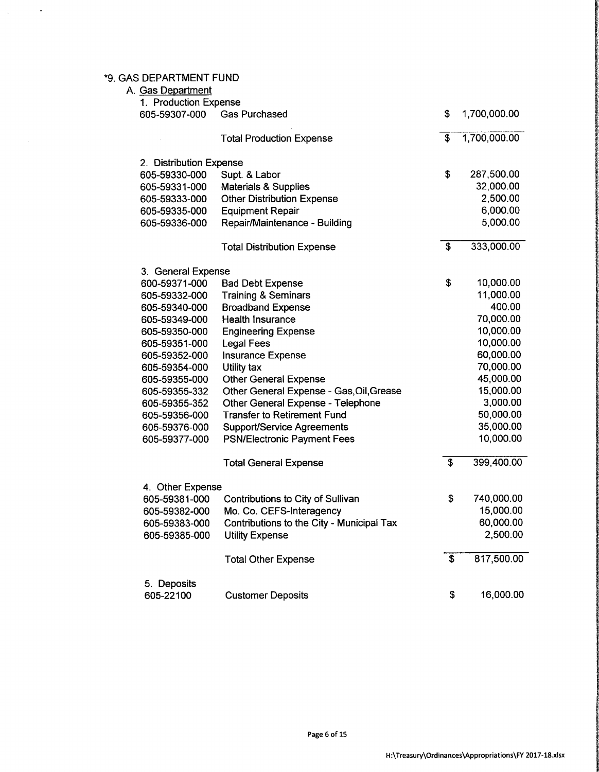## 9. GAS DEPARTMENT FUND

 $\mathcal{A}$ 

 $\bar{\alpha}$ 

| A. Gas Department<br>1. Production Expense |                                           |                         |              |
|--------------------------------------------|-------------------------------------------|-------------------------|--------------|
| 605-59307-000                              | <b>Gas Purchased</b>                      | \$                      | 1,700,000.00 |
|                                            | <b>Total Production Expense</b>           | \$                      | 1,700,000.00 |
| 2. Distribution Expense                    |                                           |                         |              |
| 605-59330-000                              | Supt. & Labor                             | \$                      | 287,500.00   |
| 605-59331-000                              | <b>Materials &amp; Supplies</b>           |                         | 32,000.00    |
| 605-59333-000                              | <b>Other Distribution Expense</b>         |                         | 2,500.00     |
| 605-59335-000                              | <b>Equipment Repair</b>                   |                         | 6,000.00     |
| 605-59336-000                              | Repair/Maintenance - Building             |                         | 5,000.00     |
|                                            | <b>Total Distribution Expense</b>         | \$                      | 333,000.00   |
| 3. General Expense                         |                                           |                         |              |
| 600-59371-000                              | <b>Bad Debt Expense</b>                   | \$                      | 10,000.00    |
| 605-59332-000                              | <b>Training &amp; Seminars</b>            |                         | 11,000.00    |
| 605-59340-000                              | <b>Broadband Expense</b>                  |                         | 400.00       |
| 605-59349-000                              | <b>Health Insurance</b>                   |                         | 70,000.00    |
| 605-59350-000                              | <b>Engineering Expense</b>                |                         | 10,000.00    |
| 605-59351-000                              | <b>Legal Fees</b>                         |                         | 10,000.00    |
| 605-59352-000                              | Insurance Expense                         |                         | 60,000.00    |
| 605-59354-000                              | Utility tax                               |                         | 70,000.00    |
| 605-59355-000                              | <b>Other General Expense</b>              |                         | 45,000.00    |
| 605-59355-332                              | Other General Expense - Gas, Oil, Grease  |                         | 15,000.00    |
| 605-59355-352                              | Other General Expense - Telephone         |                         | 3,000.00     |
| 605-59356-000                              | <b>Transfer to Retirement Fund</b>        |                         | 50,000.00    |
| 605-59376-000                              | <b>Support/Service Agreements</b>         |                         | 35,000.00    |
| 605-59377-000                              | <b>PSN/Electronic Payment Fees</b>        |                         | 10,000.00    |
|                                            | <b>Total General Expense</b>              | $\overline{\mathbf{s}}$ | 399,400.00   |
| 4. Other Expense                           |                                           |                         |              |
| 605-59381-000                              | Contributions to City of Sullivan         | \$                      | 740,000.00   |
| 605-59382-000                              | Mo. Co. CEFS-Interagency                  |                         | 15,000.00    |
| 605-59383-000                              | Contributions to the City - Municipal Tax |                         | 60,000.00    |
| 605-59385-000                              | <b>Utility Expense</b>                    |                         | 2,500.00     |
|                                            | <b>Total Other Expense</b>                | \$                      | 817,500.00   |
| 5. Deposits                                |                                           |                         |              |
| 605-22100                                  | <b>Customer Deposits</b>                  | \$                      | 16,000.00    |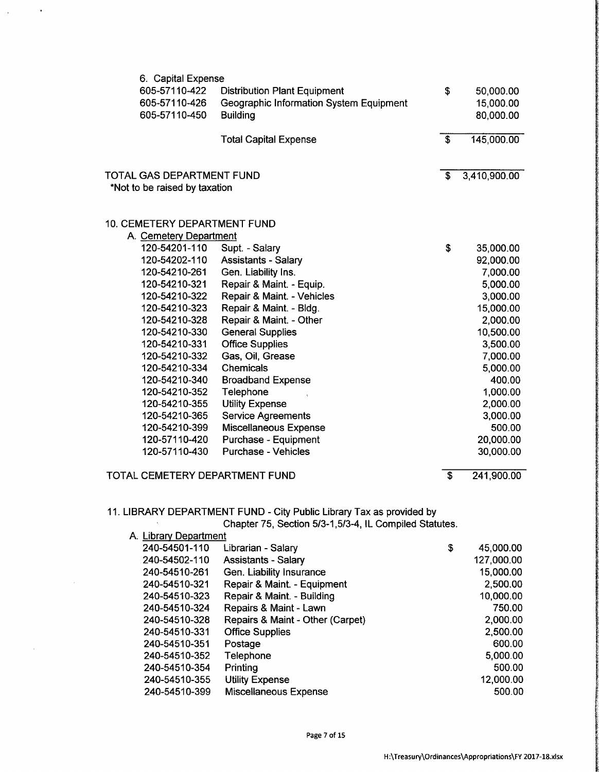| 6. Capital Expense            |                                         |              |              |
|-------------------------------|-----------------------------------------|--------------|--------------|
| 605-57110-422                 | <b>Distribution Plant Equipment</b>     | \$           | 50,000.00    |
| 605-57110-426                 | Geographic Information System Equipment |              | 15,000.00    |
| 605-57110-450                 | <b>Building</b>                         |              | 80,000.00    |
|                               |                                         |              |              |
|                               | <b>Total Capital Expense</b>            | $\mathbf{s}$ | 145,000.00   |
| TOTAL GAS DEPARTMENT FUND     |                                         | S            | 3,410,900.00 |
| *Not to be raised by taxation |                                         |              |              |
|                               |                                         |              |              |
| 10. CEMETERY DEPARTMENT FUND  |                                         |              |              |
| A. Cemetery Department        |                                         |              |              |
| 120-54201-110                 | Supt. - Salary                          | \$           | 35,000.00    |
| 120-54202-110                 | <b>Assistants - Salary</b>              |              | 92,000.00    |
| 120-54210-261                 | Gen. Liability Ins.                     |              | 7,000.00     |
| 120-54210-321                 | Repair & Maint. - Equip.                |              | 5,000.00     |
| 120-54210-322                 | Repair & Maint. - Vehicles              |              | 3,000.00     |
| 120-54210-323                 | Repair & Maint. - Bldg.                 |              | 15,000.00    |
| 120-54210-328                 | Repair & Maint. - Other                 |              | 2,000.00     |
| 120-54210-330                 | <b>General Supplies</b>                 |              | 10,500.00    |
| 120-54210-331                 | <b>Office Supplies</b>                  |              | 3,500.00     |
| 120-54210-332                 | Gas, Oil, Grease                        |              | 7,000.00     |
| 120-54210-334                 | Chemicals                               |              | 5,000.00     |
| 120-54210-340                 | <b>Broadband Expense</b>                |              | 400.00       |
| 120-54210-352                 | Telephone                               |              | 1,000.00     |
| 120-54210-355                 | <b>Utility Expense</b>                  |              | 2,000.00     |
| 120-54210-365                 | <b>Service Agreements</b>               |              | 3,000.00     |
| 120-54210-399                 | <b>Miscellaneous Expense</b>            |              | 500.00       |

### TOTAL CEMETERY DEPARTMENT FUND **3** 241,900.00

 $\ddot{\phantom{a}}$ 

## 11. LIBRARY DEPARTMENT FUND - City Public Library Tax as provided by

Chapter 75, Section 5/3-1,5/3-4, IL Compiled Statutes.

120-57110-420 Purchase - Equipment 20,000.00 120-57110-430 Purchase - Vehicles 30,000.00

| A. Library Department            |    |            |  |  |  |
|----------------------------------|----|------------|--|--|--|
| Librarian - Salary               | \$ | 45,000.00  |  |  |  |
| <b>Assistants - Salary</b>       |    | 127,000.00 |  |  |  |
| Gen. Liability Insurance         |    | 15,000.00  |  |  |  |
| Repair & Maint. - Equipment      |    | 2,500.00   |  |  |  |
| Repair & Maint. - Building       |    | 10,000.00  |  |  |  |
| Repairs & Maint - Lawn           |    | 750.00     |  |  |  |
| Repairs & Maint - Other (Carpet) |    | 2,000.00   |  |  |  |
| <b>Office Supplies</b>           |    | 2,500.00   |  |  |  |
| Postage                          |    | 600.00     |  |  |  |
| Telephone                        |    | 5,000.00   |  |  |  |
| Printing                         |    | 500.00     |  |  |  |
| <b>Utility Expense</b>           |    | 12,000.00  |  |  |  |
| Miscellaneous Expense            |    | 500.00     |  |  |  |
|                                  |    |            |  |  |  |

f`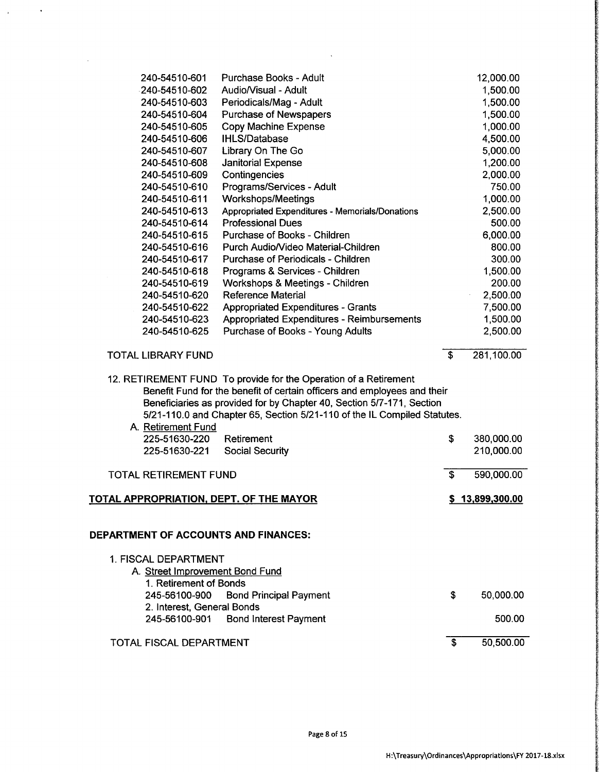| 240-54510-601                                  | Purchase Books - Adult                                                   |                         | 12,000.00       |
|------------------------------------------------|--------------------------------------------------------------------------|-------------------------|-----------------|
| 240-54510-602                                  | Audio/Visual - Adult                                                     |                         | 1,500.00        |
| 240-54510-603                                  | Periodicals/Mag - Adult                                                  |                         | 1,500.00        |
| 240-54510-604                                  | Purchase of Newspapers                                                   |                         | 1,500.00        |
| 240-54510-605                                  | <b>Copy Machine Expense</b>                                              |                         | 1,000.00        |
| 240-54510-606                                  | <b>IHLS/Database</b>                                                     |                         | 4,500.00        |
| 240-54510-607                                  | Library On The Go                                                        |                         | 5,000.00        |
| 240-54510-608                                  | <b>Janitorial Expense</b>                                                |                         | 1,200.00        |
| 240-54510-609                                  | Contingencies                                                            |                         | 2,000.00        |
| 240-54510-610                                  | Programs/Services - Adult                                                |                         | 750.00          |
| 240-54510-611                                  | <b>Workshops/Meetings</b>                                                |                         | 1,000.00        |
| 240-54510-613                                  | Appropriated Expenditures - Memorials/Donations                          |                         | 2,500.00        |
| 240-54510-614                                  | <b>Professional Dues</b>                                                 |                         | 500.00          |
| 240-54510-615                                  | Purchase of Books - Children                                             |                         | 6,000.00        |
| 240-54510-616                                  | Purch Audio/Video Material-Children                                      |                         | 800.00          |
| 240-54510-617                                  | Purchase of Periodicals - Children                                       |                         | 300.00          |
| 240-54510-618                                  | Programs & Services - Children                                           |                         | 1,500.00        |
| 240-54510-619                                  | Workshops & Meetings - Children                                          |                         | 200.00          |
| 240-54510-620                                  | <b>Reference Material</b>                                                |                         | 2,500.00        |
| 240-54510-622                                  | <b>Appropriated Expenditures - Grants</b>                                |                         | 7,500.00        |
| 240-54510-623                                  | Appropriated Expenditures - Reimbursements                               |                         | 1,500.00        |
| 240-54510-625                                  | Purchase of Books - Young Adults                                         |                         | 2,500.00        |
| <b>TOTAL LIBRARY FUND</b>                      |                                                                          | \$                      | 281,100.00      |
|                                                | 12. RETIREMENT FUND To provide for the Operation of a Retirement         |                         |                 |
|                                                | Benefit Fund for the benefit of certain officers and employees and their |                         |                 |
|                                                | Beneficiaries as provided for by Chapter 40, Section 5/7-171, Section    |                         |                 |
|                                                | 5/21-110.0 and Chapter 65, Section 5/21-110 of the IL Compiled Statutes. |                         |                 |
| A. Retirement Fund                             |                                                                          |                         |                 |
| 225-51630-220                                  | Retirement                                                               | \$                      | 380,000.00      |
| 225-51630-221                                  | <b>Social Security</b>                                                   |                         | 210,000.00      |
| <b>TOTAL RETIREMENT FUND</b>                   |                                                                          | $\overline{\mathbf{s}}$ | 590,000.00      |
|                                                |                                                                          |                         |                 |
| <u>TOTAL APPROPRIATION, DEPT. OF THE MAYOR</u> |                                                                          |                         | \$13,899,300.00 |
|                                                |                                                                          |                         |                 |
| DEPARTMENT OF ACCOUNTS AND FINANCES:           |                                                                          |                         |                 |
| 1. FISCAL DEPARTMENT                           |                                                                          |                         |                 |
| A. Street Improvement Bond Fund                |                                                                          |                         |                 |
| 1. Retirement of Bonds                         |                                                                          |                         |                 |
| 245-56100-900                                  | <b>Bond Principal Payment</b>                                            | \$                      | 50,000.00       |
| 2. Interest, General Bonds                     |                                                                          |                         |                 |
| 245-56100-901                                  | <b>Bond Interest Payment</b>                                             |                         | 500.00          |
| TOTAL FISCAL DEPARTMENT                        |                                                                          | \$                      | 50,500.00       |

 $\sim$   $\sim$ 

 $\Delta \phi = 0.001$ 

 $\sim$ 

4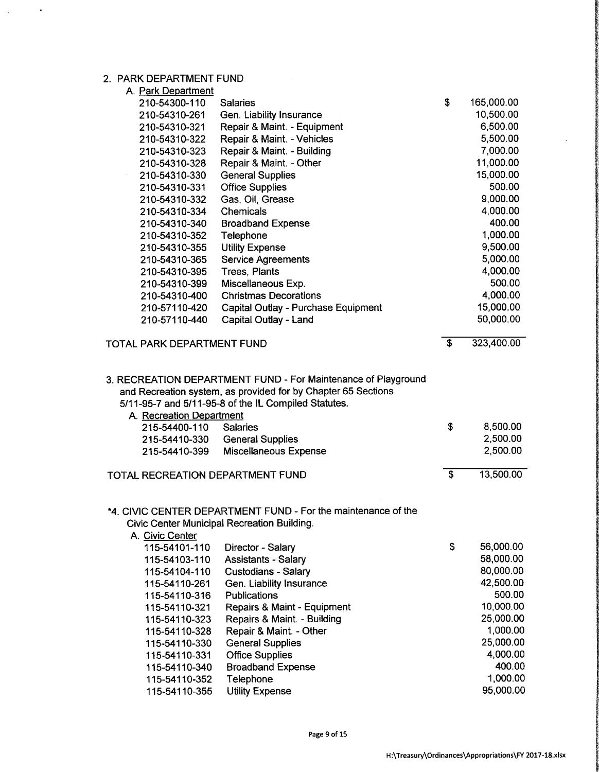## 2. PARK DEPARTMENT FUND

 $\bar{\boldsymbol{\cdot} }$ 

 $\ddot{\phantom{1}}$ 

| A. Park Department               |                                                                                                                                                                                        |    |            |
|----------------------------------|----------------------------------------------------------------------------------------------------------------------------------------------------------------------------------------|----|------------|
| 210-54300-110                    | <b>Salaries</b>                                                                                                                                                                        | \$ | 165,000.00 |
| 210-54310-261                    | Gen. Liability Insurance                                                                                                                                                               |    | 10,500.00  |
| 210-54310-321                    | Repair & Maint. - Equipment                                                                                                                                                            |    | 6,500.00   |
| 210-54310-322                    | Repair & Maint. - Vehicles                                                                                                                                                             |    | 5,500.00   |
| 210-54310-323                    | Repair & Maint. - Building                                                                                                                                                             |    | 7,000.00   |
| 210-54310-328                    | Repair & Maint. - Other                                                                                                                                                                |    | 11,000.00  |
| 210-54310-330                    | <b>General Supplies</b>                                                                                                                                                                |    | 15,000.00  |
| 210-54310-331                    | <b>Office Supplies</b>                                                                                                                                                                 |    | 500.00     |
| 210-54310-332                    | Gas, Oil, Grease                                                                                                                                                                       |    | 9,000.00   |
| 210-54310-334                    | Chemicals                                                                                                                                                                              |    | 4,000.00   |
| 210-54310-340                    | <b>Broadband Expense</b>                                                                                                                                                               |    | 400.00     |
| 210-54310-352                    | Telephone                                                                                                                                                                              |    | 1,000.00   |
| 210-54310-355                    | <b>Utility Expense</b>                                                                                                                                                                 |    | 9,500.00   |
| 210-54310-365                    | <b>Service Agreements</b>                                                                                                                                                              |    | 5,000.00   |
| 210-54310-395                    | Trees, Plants                                                                                                                                                                          |    | 4,000.00   |
| 210-54310-399                    | Miscellaneous Exp.                                                                                                                                                                     |    | 500.00     |
| 210-54310-400                    | <b>Christmas Decorations</b>                                                                                                                                                           |    | 4,000.00   |
| 210-57110-420                    | Capital Outlay - Purchase Equipment                                                                                                                                                    |    | 15,000.00  |
| 210-57110-440                    | Capital Outlay - Land                                                                                                                                                                  |    | 50,000.00  |
| TOTAL PARK DEPARTMENT FUND       |                                                                                                                                                                                        | \$ | 323,400.00 |
| A. Recreation Department         | 3. RECREATION DEPARTMENT FUND - For Maintenance of Playground<br>and Recreation system, as provided for by Chapter 65 Sections<br>5/11-95-7 and 5/11-95-8 of the IL Compiled Statutes. |    |            |
| 215-54400-110                    | <b>Salaries</b>                                                                                                                                                                        | \$ | 8,500.00   |
| 215-54410-330                    | <b>General Supplies</b>                                                                                                                                                                |    | 2,500.00   |
| 215-54410-399                    | <b>Miscellaneous Expense</b>                                                                                                                                                           |    | 2,500.00   |
| TOTAL RECREATION DEPARTMENT FUND |                                                                                                                                                                                        | S  | 13,500.00  |
| A. Civic Center                  | *4. CIVIC CENTER DEPARTMENT FUND - For the maintenance of the<br>Civic Center Municipal Recreation Building.                                                                           |    |            |
| 115-54101-110                    | Director - Salary                                                                                                                                                                      | \$ | 56,000.00  |
| 115-54103-110                    | <b>Assistants - Salary</b>                                                                                                                                                             |    | 58,000.00  |
| 115-54104-110                    | <b>Custodians - Salary</b>                                                                                                                                                             |    | 80,000.00  |
| 115-54110-261                    | Gen. Liability Insurance                                                                                                                                                               |    | 42,500.00  |
| 115-54110-316                    | Publications                                                                                                                                                                           |    | 500.00     |
| 115-54110-321                    | Repairs & Maint - Equipment                                                                                                                                                            |    | 10,000.00  |
| 115-54110-323                    | Repairs & Maint. - Building                                                                                                                                                            |    | 25,000.00  |
| 115-54110-328                    | Repair & Maint. - Other                                                                                                                                                                |    | 1,000.00   |
| 115-54110-330                    | <b>General Supplies</b>                                                                                                                                                                |    | 25,000.00  |
| 115-54110-331                    | <b>Office Supplies</b>                                                                                                                                                                 |    | 4,000.00   |
| 115-54110-340                    | <b>Broadband Expense</b>                                                                                                                                                               |    | 400.00     |
| 115-54110-352                    | Telephone                                                                                                                                                                              |    | 1,000.00   |
| 115-54110-355                    | <b>Utility Expense</b>                                                                                                                                                                 |    | 95,000.00  |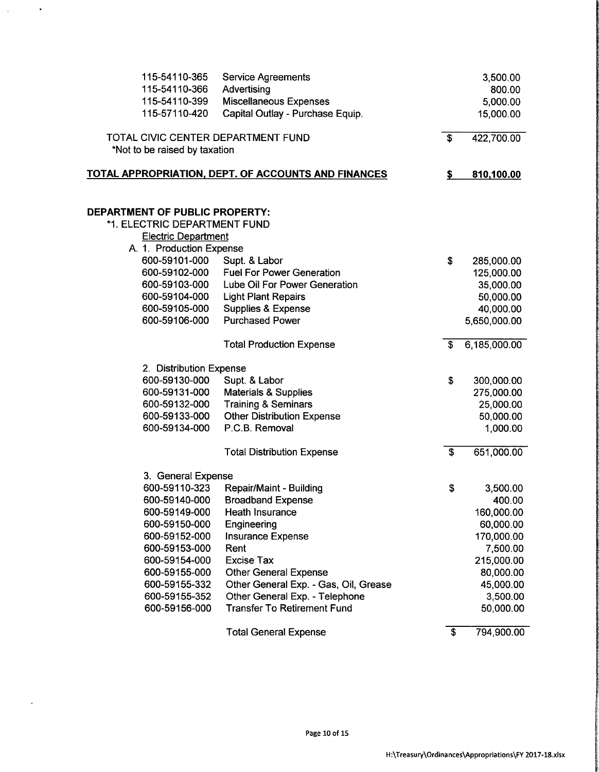| 115-54110-365                      | <b>Service Agreements</b>                                  |                           | 3,500.00     |
|------------------------------------|------------------------------------------------------------|---------------------------|--------------|
| 115-54110-366                      | Advertising                                                |                           | 800.00       |
| 115-54110-399                      | <b>Miscellaneous Expenses</b>                              |                           | 5,000.00     |
| 115-57110-420                      | Capital Outlay - Purchase Equip.                           |                           | 15,000.00    |
| TOTAL CIVIC CENTER DEPARTMENT FUND |                                                            | \$                        | 422,700.00   |
| *Not to be raised by taxation      |                                                            |                           |              |
|                                    | <u>TOTAL APPROPRIATION, DEPT. OF ACCOUNTS AND FINANCES</u> | \$                        | 810,100.00   |
|                                    |                                                            |                           |              |
| DEPARTMENT OF PUBLIC PROPERTY:     |                                                            |                           |              |
| *1. ELECTRIC DEPARTMENT FUND       |                                                            |                           |              |
| <b>Electric Department</b>         |                                                            |                           |              |
| A. 1. Production Expense           |                                                            |                           |              |
| 600-59101-000                      | Supt. & Labor                                              | \$                        | 285,000.00   |
| 600-59102-000                      | <b>Fuel For Power Generation</b>                           |                           | 125,000.00   |
| 600-59103-000                      | Lube Oil For Power Generation                              |                           | 35,000.00    |
| 600-59104-000                      | <b>Light Plant Repairs</b>                                 |                           | 50,000.00    |
| 600-59105-000                      | Supplies & Expense                                         |                           | 40,000.00    |
| 600-59106-000                      | <b>Purchased Power</b>                                     |                           | 5,650,000.00 |
|                                    | <b>Total Production Expense</b>                            | \$                        | 6,185,000.00 |
| 2. Distribution Expense            |                                                            |                           |              |
| 600-59130-000                      | Supt. & Labor                                              | \$                        | 300,000.00   |
| 600-59131-000                      | <b>Materials &amp; Supplies</b>                            |                           | 275,000.00   |
| 600-59132-000                      | <b>Training &amp; Seminars</b>                             |                           | 25,000.00    |
| 600-59133-000                      | <b>Other Distribution Expense</b>                          |                           | 50,000.00    |
| 600-59134-000                      | P.C.B. Removal                                             |                           | 1,000.00     |
|                                    | <b>Total Distribution Expense</b>                          | $\overline{\mathbf{s}}$   | 651,000.00   |
| 3. General Expense                 |                                                            |                           |              |
| 600-59110-323                      | Repair/Maint - Building                                    | \$                        | 3,500.00     |
| 600-59140-000                      | <b>Broadband Expense</b>                                   |                           | 400.00       |
| 600-59149-000                      | Heath Insurance                                            |                           | 160,000.00   |
| 600-59150-000                      | Engineering                                                |                           | 60,000.00    |
| 600-59152-000                      | <b>Insurance Expense</b>                                   |                           | 170,000.00   |
| 600-59153-000                      | Rent                                                       |                           | 7,500.00     |
| 600-59154-000                      | <b>Excise Tax</b>                                          |                           | 215,000.00   |
| 600-59155-000                      | <b>Other General Expense</b>                               |                           | 80,000.00    |
| 600-59155-332                      | Other General Exp. - Gas, Oil, Grease                      |                           | 45,000.00    |
| 600-59155-352                      | Other General Exp. - Telephone                             |                           | 3,500.00     |
| 600-59156-000                      | <b>Transfer To Retirement Fund</b>                         |                           | 50,000.00    |
|                                    | <b>Total General Expense</b>                               | $\overline{\mathfrak{s}}$ | 794,900.00   |

 $\langle \rangle$ 

 $\ddot{\phantom{0}}$ 

 $\hat{\mathcal{A}}$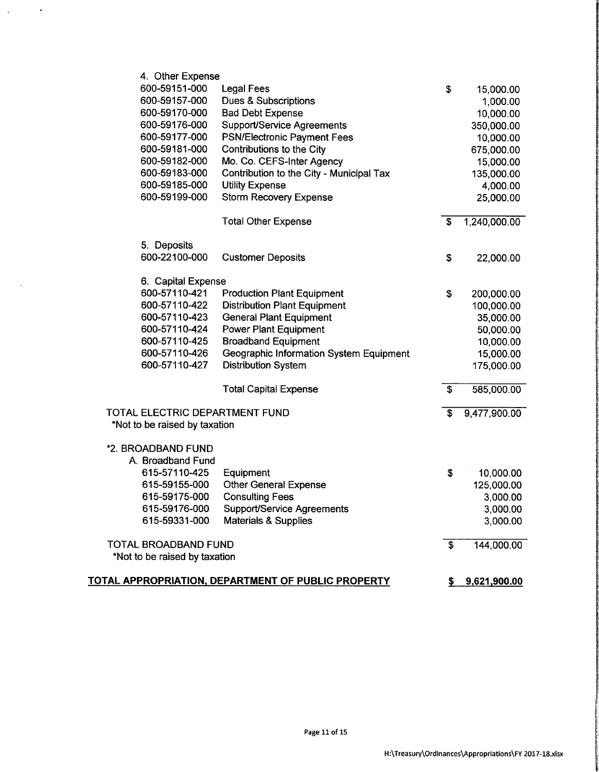| 4. Other Expense               |                                                    |                         |                |
|--------------------------------|----------------------------------------------------|-------------------------|----------------|
| 600-59151-000                  | <b>Legal Fees</b>                                  | \$                      | 15,000.00      |
| 600-59157-000                  | Dues & Subscriptions                               |                         | 1,000.00       |
| 600-59170-000                  | <b>Bad Debt Expense</b>                            |                         | 10,000.00      |
| 600-59176-000                  | Support/Service Agreements                         |                         | 350,000.00     |
| 600-59177-000                  | <b>PSN/Electronic Payment Fees</b>                 |                         | 10,000.00      |
| 600-59181-000                  | Contributions to the City                          |                         | 675,000.00     |
| 600-59182-000                  | Mo. Co. CEFS-Inter Agency                          |                         | 15,000.00      |
| 600-59183-000                  | Contribution to the City - Municipal Tax           |                         | 135,000.00     |
| 600-59185-000                  | <b>Utility Expense</b>                             |                         | 4,000.00       |
| 600-59199-000                  | <b>Storm Recovery Expense</b>                      |                         | 25,000.00      |
|                                | <b>Total Other Expense</b>                         | \$                      | 1,240,000.00   |
| 5. Deposits                    |                                                    |                         |                |
| 600-22100-000                  | <b>Customer Deposits</b>                           | \$                      | 22,000.00      |
| 6. Capital Expense             |                                                    |                         |                |
| 600-57110-421                  | <b>Production Plant Equipment</b>                  | \$                      | 200,000.00     |
| 600-57110-422                  | <b>Distribution Plant Equipment</b>                |                         | 100,000.00     |
| 600-57110-423                  | <b>General Plant Equipment</b>                     |                         | 35,000.00      |
| 600-57110-424                  | <b>Power Plant Equipment</b>                       |                         | 50,000.00      |
| 600-57110-425                  | <b>Broadband Equipment</b>                         |                         | 10,000.00      |
| 600-57110-426                  | Geographic Information System Equipment            |                         | 15,000.00      |
| 600-57110-427                  | <b>Distribution System</b>                         |                         | 175,000.00     |
|                                | <b>Total Capital Expense</b>                       | \$                      | 585,000.00     |
| TOTAL ELECTRIC DEPARTMENT FUND |                                                    | \$                      | 9,477,900.00   |
| *Not to be raised by taxation  |                                                    |                         |                |
| *2. BROADBAND FUND             |                                                    |                         |                |
| A. Broadband Fund              |                                                    |                         |                |
| 615-57110-425                  | Equipment                                          | \$                      | 10,000.00      |
| 615-59155-000                  | <b>Other General Expense</b>                       |                         | 125,000.00     |
| 615-59175-000                  | <b>Consulting Fees</b>                             |                         | 3,000.00       |
| 615-59176-000                  | Support/Service Agreements                         |                         | 3,000.00       |
| 615-59331-000                  | <b>Materials &amp; Supplies</b>                    |                         | 3,000.00       |
| TOTAL BROADBAND FUND           |                                                    | $\overline{\mathbf{s}}$ | 144,000.00     |
| *Not to be raised by taxation  |                                                    |                         |                |
|                                | TOTAL APPROPRIATION, DEPARTMENT OF PUBLIC PROPERTY |                         | \$9,621,900.00 |

 $\sim$   $\sim$ 

 $\mathcal{A}^{\text{max}}$ 

 $\bar{\mathcal{A}}$ 

**TOOPOOT**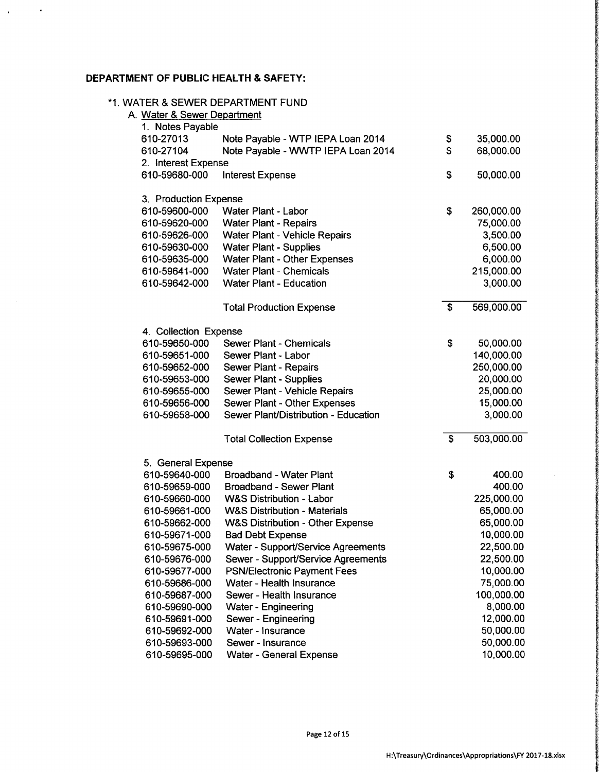## DEPARTMENT OF PUBLIC HEALTH & SAFETY:

 $\hat{\mathbf{r}}$ 

 $\bar{1}$ 

| A. Water & Sewer Department | 1. WATER & SEWER DEPARTMENT FUND            |                  |
|-----------------------------|---------------------------------------------|------------------|
| 1. Notes Payable            |                                             |                  |
| 610-27013                   | Note Payable - WTP IEPA Loan 2014           | \$<br>35,000.00  |
| 610-27104                   | Note Payable - WWTP IEPA Loan 2014          | \$<br>68,000.00  |
| 2. Interest Expense         |                                             |                  |
| 610-59680-000               | <b>Interest Expense</b>                     | \$<br>50,000.00  |
| 3. Production Expense       |                                             |                  |
| 610-59600-000               | Water Plant - Labor                         | \$<br>260,000.00 |
| 610-59620-000               | <b>Water Plant - Repairs</b>                | 75,000.00        |
| 610-59626-000               | <b>Water Plant - Vehicle Repairs</b>        | 3,500.00         |
| 610-59630-000               | <b>Water Plant - Supplies</b>               | 6,500.00         |
| 610-59635-000               | <b>Water Plant - Other Expenses</b>         | 6,000.00         |
| 610-59641-000               | <b>Water Plant - Chemicals</b>              | 215,000.00       |
| 610-59642-000               | <b>Water Plant - Education</b>              | 3,000.00         |
|                             |                                             |                  |
|                             | <b>Total Production Expense</b>             | \$<br>569,000.00 |
| 4. Collection Expense       |                                             |                  |
| 610-59650-000               | Sewer Plant - Chemicals                     | \$<br>50,000.00  |
| 610-59651-000               | Sewer Plant - Labor                         | 140,000.00       |
| 610-59652-000               | <b>Sewer Plant - Repairs</b>                | 250,000.00       |
| 610-59653-000               | Sewer Plant - Supplies                      | 20,000.00        |
| 610-59655-000               | Sewer Plant - Vehicle Repairs               | 25,000.00        |
| 610-59656-000               | Sewer Plant - Other Expenses                | 15,000.00        |
| 610-59658-000               | Sewer Plant/Distribution - Education        | 3,000.00         |
|                             | <b>Total Collection Expense</b>             | \$<br>503,000.00 |
| 5. General Expense          |                                             |                  |
| 610-59640-000               | <b>Broadband - Water Plant</b>              | \$<br>400.00     |
| 610-59659-000               | <b>Broadband - Sewer Plant</b>              | 400.00           |
| 610-59660-000               | <b>W&amp;S Distribution - Labor</b>         | 225,000.00       |
| 610-59661-000               | <b>W&amp;S Distribution - Materials</b>     | 65,000.00        |
| 610-59662-000               | <b>W&amp;S Distribution - Other Expense</b> | 65,000.00        |
| 610-59671-000               | <b>Bad Debt Expense</b>                     | 10,000.00        |
| 610-59675-000               | Water - Support/Service Agreements          | 22,500.00        |
| 610-59676-000               | Sewer - Support/Service Agreements          | 22,500.00        |
| 610-59677-000               | <b>PSN/Electronic Payment Fees</b>          | 10,000.00        |
| 610-59686-000               | Water - Health Insurance                    | 75,000.00        |
| 610-59687-000               | Sewer - Health Insurance                    | 100,000.00       |
| 610-59690-000               | Water - Engineering                         | 8,000.00         |
| 610-59691-000               | Sewer - Engineering                         | 12,000.00        |
| 610-59692-000               | Water - Insurance                           | 50,000.00        |
| 610-59693-000               | Sewer - Insurance                           | 50,000.00        |
| 610-59695-000               | <b>Water - General Expense</b>              | 10,000.00        |

r<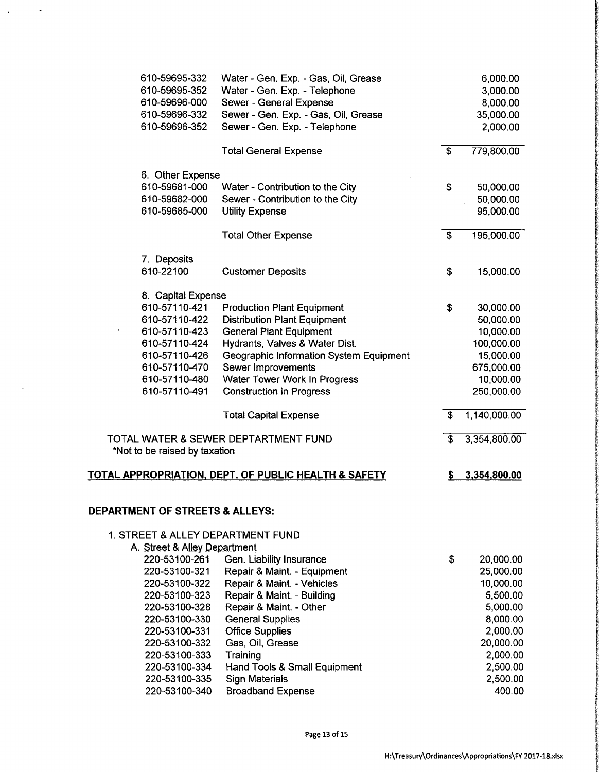| 610-59695-332                     | Water - Gen. Exp. - Gas, Oil, Grease                            |    | 6,000.00     |
|-----------------------------------|-----------------------------------------------------------------|----|--------------|
| 610-59695-352                     | Water - Gen. Exp. - Telephone                                   |    | 3,000.00     |
| 610-59696-000                     | Sewer - General Expense                                         |    | 8,000.00     |
| 610-59696-332                     | Sewer - Gen. Exp. - Gas, Oil, Grease                            |    | 35,000.00    |
| 610-59696-352                     | Sewer - Gen. Exp. - Telephone                                   |    | 2,000.00     |
|                                   | <b>Total General Expense</b>                                    | \$ | 779,800.00   |
|                                   |                                                                 |    |              |
| 6. Other Expense<br>610-59681-000 | Water - Contribution to the City                                | \$ | 50,000.00    |
| 610-59682-000                     | Sewer - Contribution to the City                                |    | 50,000.00    |
| 610-59685-000                     | <b>Utility Expense</b>                                          |    | 95,000.00    |
|                                   |                                                                 |    |              |
|                                   | <b>Total Other Expense</b>                                      | \$ | 195,000.00   |
| 7. Deposits                       |                                                                 |    |              |
| 610-22100                         | <b>Customer Deposits</b>                                        | \$ | 15,000.00    |
| 8. Capital Expense                |                                                                 |    |              |
| 610-57110-421                     | <b>Production Plant Equipment</b>                               | \$ | 30,000.00    |
| 610-57110-422                     | <b>Distribution Plant Equipment</b>                             |    | 50,000.00    |
| 610-57110-423<br>۸                | <b>General Plant Equipment</b>                                  |    | 10,000.00    |
| 610-57110-424                     | Hydrants, Valves & Water Dist.                                  |    | 100,000.00   |
| 610-57110-426                     | Geographic Information System Equipment                         |    | 15,000.00    |
| 610-57110-470                     | Sewer Improvements                                              |    | 675,000.00   |
| 610-57110-480                     | Water Tower Work In Progress                                    |    | 10,000.00    |
| 610-57110-491                     | <b>Construction in Progress</b>                                 |    | 250,000.00   |
|                                   | <b>Total Capital Expense</b>                                    | £. | 1,140,000.00 |
|                                   | TOTAL WATER & SEWER DEPTARTMENT FUND                            | \$ | 3,354,800.00 |
| *Not to be raised by taxation     |                                                                 |    |              |
|                                   | <b>TOTAL APPROPRIATION, DEPT. OF PUBLIC HEALTH &amp; SAFETY</b> | 5  | 3,354,800.00 |
|                                   |                                                                 |    |              |
| DEPARTMENT OF STREETS & ALLEYS:   |                                                                 |    |              |
|                                   | 1. STREET & ALLEY DEPARTMENT FUND                               |    |              |
| A. Street & Alley Department      |                                                                 |    |              |
| 220-53100-261                     | Gen. Liability Insurance                                        | \$ | 20,000.00    |
| 220-53100-321                     | Repair & Maint. - Equipment                                     |    | 25,000.00    |
| 220-53100-322                     | Repair & Maint. - Vehicles                                      |    | 10,000.00    |
| 220-53100-323                     | Repair & Maint. - Building                                      |    | 5,500.00     |
| 220-53100-328                     | Repair & Maint. - Other                                         |    | 5,000.00     |
| 220-53100-330                     | <b>General Supplies</b>                                         |    | 8,000.00     |
| 220-53100-331                     | <b>Office Supplies</b>                                          |    | 2,000.00     |
| 220-53100-332                     | Gas, Oil, Grease                                                |    | 20,000.00    |
| 220-53100-333                     | Training                                                        |    | 2,000.00     |
| 220-53100-334                     | Hand Tools & Small Equipment                                    |    | 2,500.00     |
| 220-53100-335                     | <b>Sign Materials</b>                                           |    | 2,500.00     |
| 220-53100-340                     | <b>Broadband Expense</b>                                        |    | 400.00       |

 $\Delta \phi = 0.04$ 

 $\sim$ 

ł *the control*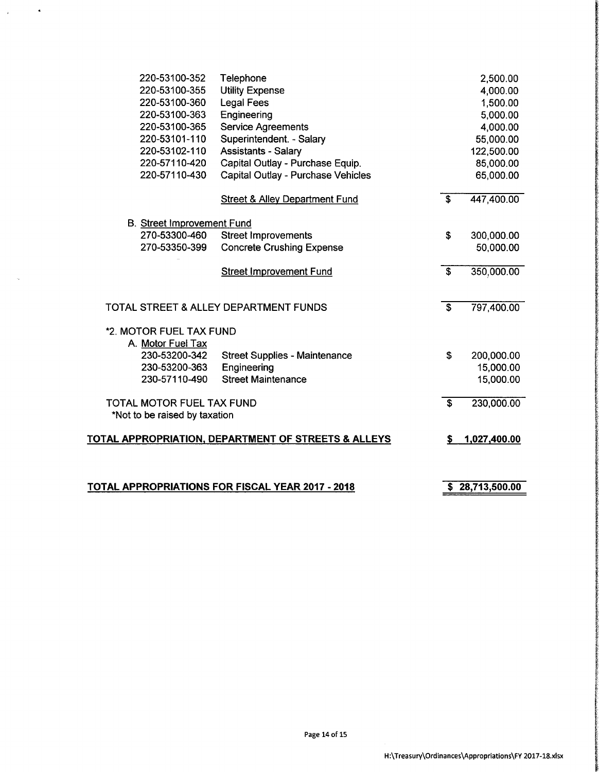| 220-53100-352                     | Telephone                                               |                           | 2,500.00        |
|-----------------------------------|---------------------------------------------------------|---------------------------|-----------------|
| 220-53100-355                     | <b>Utility Expense</b>                                  |                           | 4,000.00        |
| 220-53100-360                     | <b>Legal Fees</b>                                       |                           | 1,500.00        |
| 220-53100-363                     | Engineering                                             |                           | 5,000.00        |
| 220-53100-365                     | <b>Service Agreements</b>                               |                           | 4,000.00        |
| 220-53101-110                     | Superintendent. - Salary                                |                           | 55,000.00       |
| 220-53102-110                     | <b>Assistants - Salary</b>                              |                           | 122,500.00      |
| 220-57110-420                     | Capital Outlay - Purchase Equip.                        |                           | 85,000.00       |
| 220-57110-430                     | Capital Outlay - Purchase Vehicles                      |                           | 65,000.00       |
|                                   | <b>Street &amp; Alley Department Fund</b>               | $\overline{\mathcal{S}}$  | 447,400.00      |
| <b>B.</b> Street Improvement Fund |                                                         |                           |                 |
| 270-53300-460                     | <b>Street Improvements</b>                              | \$                        | 300,000.00      |
| 270-53350-399                     | <b>Concrete Crushing Expense</b>                        |                           | 50,000.00       |
|                                   | <b>Street Improvement Fund</b>                          | $\mathbf{s}$              | 350,000.00      |
|                                   | TOTAL STREET & ALLEY DEPARTMENT FUNDS                   | $\overline{\mathfrak{s}}$ | 797,400.00      |
| *2. MOTOR FUEL TAX FUND           |                                                         |                           |                 |
| A. Motor Fuel Tax                 |                                                         |                           |                 |
| 230-53200-342                     | <b>Street Supplies - Maintenance</b>                    | \$                        | 200,000.00      |
| 230-53200-363                     | Engineering                                             |                           | 15,000.00       |
| 230-57110-490                     | <b>Street Maintenance</b>                               |                           | 15,000.00       |
| TOTAL MOTOR FUEL TAX FUND         |                                                         | $\overline{\mathbf{s}}$   | 230,000.00      |
| *Not to be raised by taxation     |                                                         |                           |                 |
|                                   | TOTAL APPROPRIATION, DEPARTMENT OF STREETS & ALLEYS     | \$                        | 1,027,400.00    |
|                                   |                                                         |                           |                 |
|                                   | <b>TOTAL APPROPRIATIONS FOR FISCAL YEAR 2017 - 2018</b> |                           | \$28,713,500.00 |

 $\Delta \phi = 0.004$ 

 $\bar{\alpha}$